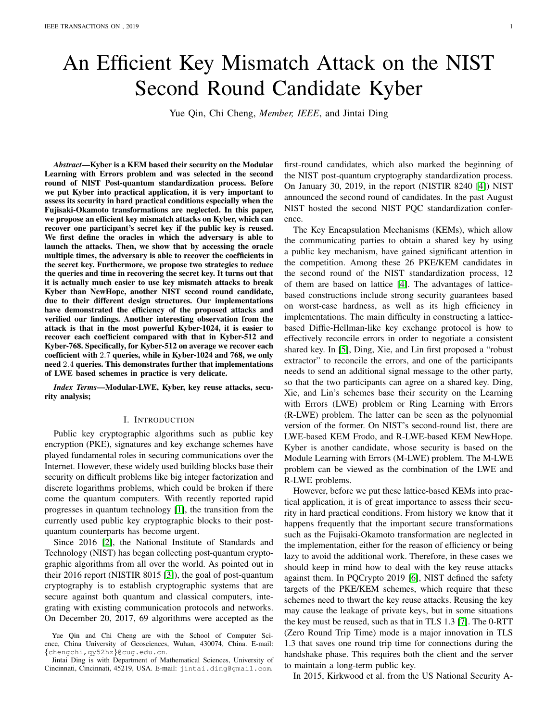# An Efficient Key Mismatch Attack on the NIST Second Round Candidate Kyber

Yue Qin, Chi Cheng, *Member, IEEE*, and Jintai Ding

*Abstract*—Kyber is a KEM based their security on the Modular Learning with Errors problem and was selected in the second round of NIST Post-quantum standardization process. Before we put Kyber into practical application, it is very important to assess its security in hard practical conditions especially when the Fujisaki-Okamoto transformations are neglected. In this paper, we propose an efficient key mismatch attacks on Kyber, which can recover one participant's secret key if the public key is reused. We first define the oracles in which the adversary is able to launch the attacks. Then, we show that by accessing the oracle multiple times, the adversary is able to recover the coefficients in the secret key. Furthermore, we propose two strategies to reduce the queries and time in recovering the secret key. It turns out that it is actually much easier to use key mismatch attacks to break Kyber than NewHope, another NIST second round candidate, due to their different design structures. Our implementations have demonstrated the efficiency of the proposed attacks and verified our findings. Another interesting observation from the attack is that in the most powerful Kyber-1024, it is easier to recover each coefficient compared with that in Kyber-512 and Kyber-768. Specifically, for Kyber-512 on average we recover each coefficient with 2.7 queries, while in Kyber-1024 and 768, we only need 2.4 queries. This demonstrates further that implementations of LWE based schemes in practice is very delicate.

*Index Terms*—Modular-LWE, Kyber, key reuse attacks, security analysis;

# I. INTRODUCTION

Public key cryptographic algorithms such as public key encryption (PKE), signatures and key exchange schemes have played fundamental roles in securing communications over the Internet. However, these widely used building blocks base their security on difficult problems like big integer factorization and discrete logarithms problems, which could be broken if there come the quantum computers. With recently reported rapid progresses in quantum technology [\[1\]](#page-10-0), the transition from the currently used public key cryptographic blocks to their postquantum counterparts has become urgent.

Since 2016 [\[2\]](#page-10-1), the National Institute of Standards and Technology (NIST) has began collecting post-quantum cryptographic algorithms from all over the world. As pointed out in their 2016 report (NISTIR 8015 [\[3\]](#page-10-2)), the goal of post-quantum cryptography is to establish cryptographic systems that are secure against both quantum and classical computers, integrating with existing communication protocols and networks. On December 20, 2017, 69 algorithms were accepted as the

first-round candidates, which also marked the beginning of the NIST post-quantum cryptography standardization process. On January 30, 2019, in the report (NISTIR 8240 [\[4\]](#page-10-3)) NIST announced the second round of candidates. In the past August NIST hosted the second NIST PQC standardization conference.

The Key Encapsulation Mechanisms (KEMs), which allow the communicating parties to obtain a shared key by using a public key mechanism, have gained significant attention in the competition. Among these 26 PKE/KEM candidates in the second round of the NIST standardization process, 12 of them are based on lattice [\[4\]](#page-10-3). The advantages of latticebased constructions include strong security guarantees based on worst-case hardness, as well as its high efficiency in implementations. The main difficulty in constructing a latticebased Diffie-Hellman-like key exchange protocol is how to effectively reconcile errors in order to negotiate a consistent shared key. In [\[5\]](#page-10-4), Ding, Xie, and Lin first proposed a "robust extractor" to reconcile the errors, and one of the participants needs to send an additional signal message to the other party, so that the two participants can agree on a shared key. Ding, Xie, and Lin's schemes base their security on the Learning with Errors (LWE) problem or Ring Learning with Errors (R-LWE) problem. The latter can be seen as the polynomial version of the former. On NIST's second-round list, there are LWE-based KEM Frodo, and R-LWE-based KEM NewHope. Kyber is another candidate, whose security is based on the Module Learning with Errors (M-LWE) problem. The M-LWE problem can be viewed as the combination of the LWE and R-LWE problems.

However, before we put these lattice-based KEMs into practical application, it is of great importance to assess their security in hard practical conditions. From history we know that it happens frequently that the important secure transformations such as the Fujisaki-Okamoto transformation are neglected in the implementation, either for the reason of efficiency or being lazy to avoid the additional work. Therefore, in these cases we should keep in mind how to deal with the key reuse attacks against them. In PQCrypto 2019 [\[6\]](#page-10-5), NIST defined the safety targets of the PKE/KEM schemes, which require that these schemes need to thwart the key reuse attacks. Reusing the key may cause the leakage of private keys, but in some situations the key must be reused, such as that in TLS 1.3 [\[7\]](#page-10-6). The 0-RTT (Zero Round Trip Time) mode is a major innovation in TLS 1.3 that saves one round trip time for connections during the handshake phase. This requires both the client and the server to maintain a long-term public key.

In 2015, Kirkwood et al. from the US National Security A-

Yue Qin and Chi Cheng are with the School of Computer Science, China University of Geosciences, Wuhan, 430074, China. E-mail: {chengchi,qy52hz}@cug.edu.cn.

Jintai Ding is with Department of Mathematical Sciences, University of Cincinnati, Cincinnati, 45219, USA. E-mail: jintai.ding@gmail.com.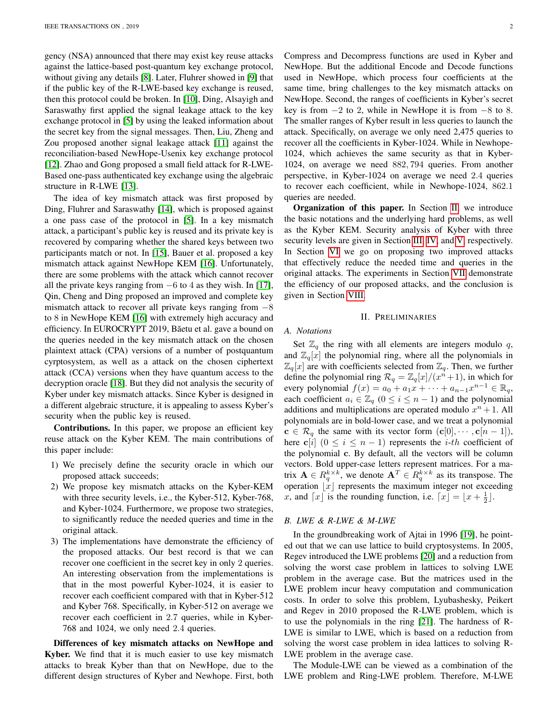gency (NSA) announced that there may exist key reuse attacks against the lattice-based post-quantum key exchange protocol, without giving any details [\[8\]](#page-10-7). Later, Fluhrer showed in [\[9\]](#page-10-8) that if the public key of the R-LWE-based key exchange is reused, then this protocol could be broken. In [\[10\]](#page-10-9), Ding, Alsayigh and Saraswathy first applied the signal leakage attack to the key exchange protocol in [\[5\]](#page-10-4) by using the leaked information about the secret key from the signal messages. Then, Liu, Zheng and Zou proposed another signal leakage attack [\[11\]](#page-10-10) against the reconciliation-based NewHope-Usenix key exchange protocol [\[12\]](#page-11-0). Zhao and Gong proposed a small field attack for R-LWE-Based one-pass authenticated key exchange using the algebraic structure in R-LWE [\[13\]](#page-11-1).

The idea of key mismatch attack was first proposed by Ding, Fluhrer and Saraswathy [\[14\]](#page-11-2), which is proposed against a one pass case of the protocol in [\[5\]](#page-10-4). In a key mismatch attack, a participant's public key is reused and its private key is recovered by comparing whether the shared keys between two participants match or not. In [\[15\]](#page-11-3), Bauer et al. proposed a key mismatch attack against NewHope KEM [\[16\]](#page-11-4). Unfortunately, there are some problems with the attack which cannot recover all the private keys ranging from  $-6$  to 4 as they wish. In [\[17\]](#page-11-5), Qin, Cheng and Ding proposed an improved and complete key mismatch attack to recover all private keys ranging from  $-8$ to 8 in NewHope KEM [\[16\]](#page-11-4) with extremely high accuracy and efficiency. In EUROCRYPT 2019, Băetu et al. gave a bound on the queries needed in the key mismatch attack on the chosen plaintext attack (CPA) versions of a number of postquantum cyrptosystem, as well as a attack on the chosen ciphertext attack (CCA) versions when they have quantum access to the decryption oracle [\[18\]](#page-11-6). But they did not analysis the security of Kyber under key mismatch attacks. Since Kyber is designed in a different algebraic structure, it is appealing to assess Kyber's security when the public key is reused.

Contributions. In this paper, we propose an efficient key reuse attack on the Kyber KEM. The main contributions of this paper include:

- 1) We precisely define the security oracle in which our proposed attack succeeds;
- 2) We propose key mismatch attacks on the Kyber-KEM with three security levels, i.e., the Kyber-512, Kyber-768, and Kyber-1024. Furthermore, we propose two strategies, to significantly reduce the needed queries and time in the original attack.
- 3) The implementations have demonstrate the efficiency of the proposed attacks. Our best record is that we can recover one coefficient in the secret key in only 2 queries. An interesting observation from the implementations is that in the most powerful Kyber-1024, it is easier to recover each coefficient compared with that in Kyber-512 and Kyber 768. Specifically, in Kyber-512 on average we recover each coefficient in 2.7 queries, while in Kyber-768 and 1024, we only need 2.4 queries.

Differences of key mismatch attacks on NewHope and Kyber. We find that it is much easier to use key mismatch attacks to break Kyber than that on NewHope, due to the different design structures of Kyber and Newhope. First, both Compress and Decompress functions are used in Kyber and NewHope. But the additional Encode and Decode functions used in NewHope, which process four coefficients at the same time, bring challenges to the key mismatch attacks on NewHope. Second, the ranges of coefficients in Kyber's secret key is from  $-2$  to 2, while in NewHope it is from  $-8$  to 8. The smaller ranges of Kyber result in less queries to launch the attack. Specifically, on average we only need 2,475 queries to recover all the coefficients in Kyber-1024. While in Newhope-1024, which achieves the same security as that in Kyber-1024, on average we need 882, 794 queries. From another perspective, in Kyber-1024 on average we need 2.4 queries to recover each coefficient, while in Newhope-1024, 862.1 queries are needed.

Organization of this paper. In Section [II,](#page-1-0) we introduce the basic notations and the underlying hard problems, as well as the Kyber KEM. Security analysis of Kyber with three security levels are given in Section [III,](#page-3-0) [IV,](#page-5-0) and [V,](#page-6-0) respectively. In Section [VI](#page-7-0) we go on proposing two improved attacks that effectively reduce the needed time and queries in the original attacks. The experiments in Section [VII](#page-8-0) demonstrate the efficiency of our proposed attacks, and the conclusion is given in Section [VIII.](#page-10-11)

#### II. PRELIMINARIES

# <span id="page-1-0"></span>*A. Notations*

Set  $\mathbb{Z}_q$  the ring with all elements are integers modulo q, and  $\mathbb{Z}_q[x]$  the polynomial ring, where all the polynomials in  $\mathbb{Z}_q[x]$  are with coefficients selected from  $\mathbb{Z}_q$ . Then, we further define the polynomial ring  $\mathcal{R}_q = \mathbb{Z}_q[x]/(x^n + 1)$ , in which for every polynomial  $f(x) = a_0 + a_1x + \cdots + a_{n-1}x^{n-1} \in \mathbb{R}_q$ , each coefficient  $a_i \in \mathbb{Z}_q$   $(0 \le i \le n-1)$  and the polynomial additions and multiplications are operated modulo  $x^n + 1$ . All polynomials are in bold-lower case, and we treat a polynomial  $\mathbf{c} \in \mathcal{R}_q$  the same with its vector form  $(\mathbf{c}[0], \cdots, \mathbf{c}[n-1]),$ here c[i] ( $0 \le i \le n-1$ ) represents the *i*-th coefficient of the polynomial c. By default, all the vectors will be column vectors. Bold upper-case letters represent matrices. For a matrix  $\mathbf{A} \in R_q^{k \times k}$ , we denote  $\mathbf{A}^T \in R_q^{k \times k}$  as its transpose. The operation  $\lfloor x \rfloor$  represents the maximum integer not exceeding x, and  $\lceil x \rfloor$  is the rounding function, i.e.  $\lceil x \rfloor = \lfloor x + \frac{1}{2} \rfloor$ .

### *B. LWE & R-LWE & M-LWE*

In the groundbreaking work of Ajtai in 1996 [\[19\]](#page-11-7), he pointed out that we can use lattice to build cryptosystems. In 2005, Regev introduced the LWE problems [\[20\]](#page-11-8) and a reduction from solving the worst case problem in lattices to solving LWE problem in the average case. But the matrices used in the LWE problem incur heavy computation and communication costs. In order to solve this problem, Lyubashesky, Peikert and Regev in 2010 proposed the R-LWE problem, which is to use the polynomials in the ring [\[21\]](#page-11-9). The hardness of R-LWE is similar to LWE, which is based on a reduction from solving the worst case problem in idea lattices to solving R-LWE problem in the average case.

The Module-LWE can be viewed as a combination of the LWE problem and Ring-LWE problem. Therefore, M-LWE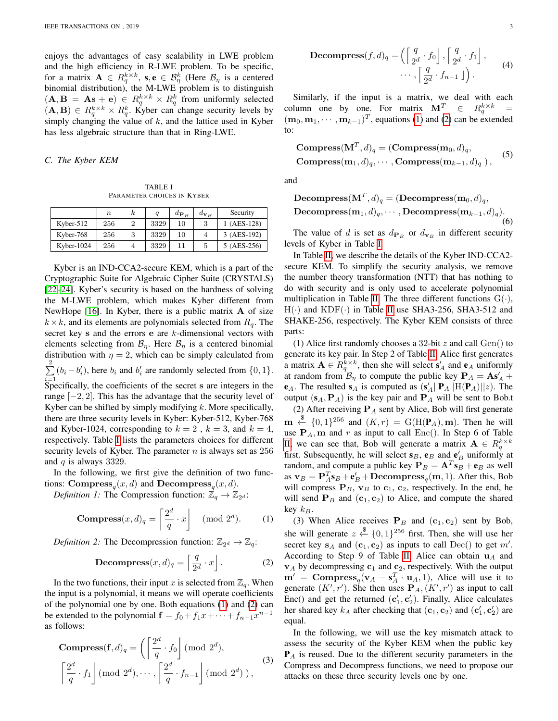enjoys the advantages of easy scalability in LWE problem and the high efficiency in R-LWE problem. To be specific, for a matrix  $\mathbf{A} \in R_q^{k \times k}$ ,  $\mathbf{s}, \mathbf{e} \in \mathcal{B}_\eta^k$  (Here  $\mathcal{B}_\eta$  is a centered binomial distribution), the M-LWE problem is to distinguish  $(A, B = As + e) \in R_q^{k \times k} \times R_q^k$  from uniformly selected  $(A, B) \in R_q^{k \times k} \times R_q^k$ . Kyber can change security levels by simply changing the value of  $k$ , and the lattice used in Kyber has less algebraic structure than that in Ring-LWE.

# *C. The Kyber KEM*

TABLE I PARAMETER CHOICES IN KYBER

<span id="page-2-0"></span>

|               | $\boldsymbol{n}$ | k. |      | $d_{\mathbf{P}_B}$ | $d_{\mathbf{v}_B}$ | Security    |
|---------------|------------------|----|------|--------------------|--------------------|-------------|
| Kyber- $512$  | 256              |    | 3329 | 10                 | 3                  | 1 (AES-128) |
| Kyber-768     | 256              |    | 3329 | 10                 |                    | 3 (AES-192) |
| Kyber- $1024$ | 256              |    | 3329 |                    | 5                  | 5 (AES-256) |

Kyber is an IND-CCA2-secure KEM, which is a part of the Cryptographic Suite for Algebraic Cipher Suite (CRYSTALS) [\[22](#page-11-10)[–24\]](#page-11-11). Kyber's security is based on the hardness of solving the M-LWE problem, which makes Kyber different from NewHope  $[16]$ . In Kyber, there is a public matrix  $\bf{A}$  of size  $k \times k$ , and its elements are polynomials selected from  $R_q$ . The secret key s and the errors e are k-dimensional vectors with elements selecting from  $\mathcal{B}_\eta$ . Here  $\mathcal{B}_\eta$  is a centered binomial distribution with  $\eta = 2$ , which can be simply calculated from  $\sum_{i=1}^{2} (b_i - b'_i)$ , here  $b_i$  and  $b'_i$  are randomly selected from  $\{0, 1\}$ .  $i=1$ <br>Specifically, the coefficients of the secret s are integers in the range  $[-2, 2]$ . This has the advantage that the security level of Kyber can be shifted by simply modifying  $k$ . More specifically, there are three security levels in Kyber: Kyber-512, Kyber-768 and Kyber-1024, corresponding to  $k = 2$ ,  $k = 3$ , and  $k = 4$ , respectively. Table [I](#page-2-0) lists the parameters choices for different security levels of Kyber. The parameter  $n$  is always set as 256 and  $q$  is always 3329.

In the following, we first give the definition of two functions: Compress<sub>q</sub> $(x, d)$  and Decompress<sub>q</sub> $(x, d)$ .

*Definition 1:* The Compression function:  $\mathbb{Z}_q \to \mathbb{Z}_{2^d}$ :

<span id="page-2-1"></span>**Compress**
$$
(x, d)_q = \left\lceil \frac{2^d}{q} \cdot x \right\rceil \pmod{2^d}.
$$
 (1)

*Definition 2:* The Decompression function:  $\mathbb{Z}_{2^d} \to \mathbb{Z}_q$ :

<span id="page-2-2"></span>Decompress
$$
(x,d)_q = \left[\frac{q}{2^d} \cdot x\right]
$$
. (2)

In the two functions, their input x is selected from  $\mathbb{Z}_q$ . When the input is a polynomial, it means we will operate coefficients of the polynomial one by one. Both equations [\(1\)](#page-2-1) and [\(2\)](#page-2-2) can be extended to the polynomial  $\mathbf{f} = f_0 + f_1 x + \cdots + f_{n-1} x^{n-1}$ as follows:

**Compress**
$$
(\mathbf{f}, d)_q = \left(\left\lceil \frac{2^d}{q} \cdot f_0 \right\rceil \pmod{2^d}, \left\lceil \frac{2^d}{q} \cdot f_1 \right\rceil \pmod{2^d}, \dots, \left\lceil \frac{2^d}{q} \cdot f_{n-1} \right\rceil \pmod{2^d},
$$
 (3)

Decompress
$$
(f, d)_q = \left( \left\lceil \frac{q}{2^d} \cdot f_0 \right\rceil, \left\lceil \frac{q}{2^d} \cdot f_1 \right\rceil, \cdots, \left\lceil \frac{q}{2^d} \cdot f_{n-1} \right\rceil \right).
$$
 (4)

Similarly, if the input is a matrix, we deal with each column one by one. For matrix  $\mathbf{M}^T \in R_q^{k \times k} =$  $(\mathbf{m}_0, \mathbf{m}_1, \cdots, \mathbf{m}_{k-1})^T$ , equations [\(1\)](#page-2-1) and [\(2\)](#page-2-2) can be extended to:

Compress
$$
(\mathbf{M}^T, d)_q = (\mathbf{Compress}(\mathbf{m}_0, d)_q,
$$
  
Compress $(\mathbf{m}_1, d)_q, \cdots, \mathbf{Compress}(\mathbf{m}_{k-1}, d)_q)$ , (5)

and

 $\mathbf{Decompress}(\mathbf{M}^T,d)_q=(\mathbf{Decompress}(\mathbf{m}_0,d)_q,$ Decompress $(m_1, d)_q, \cdots$ , Decompress $(m_{k-1}, d)_q$ ). (6)

The value of d is set as  $d_{\mathbf{P}_B}$  or  $d_{\mathbf{v}_B}$  in different security levels of Kyber in Table [I.](#page-2-0)

In Table [II,](#page-3-1) we describe the details of the Kyber IND-CCA2 secure KEM. To simplify the security analysis, we remove the number theory transformation (NTT) that has nothing to do with security and is only used to accelerate polynomial multiplication in Table [II.](#page-3-1) The three different functions  $G(\cdot)$ ,  $H(\cdot)$  and  $KDF(\cdot)$  in Table [II](#page-3-1) use SHA3-256, SHA3-512 and SHAKE-256, respectively. The Kyber KEM consists of three parts:

(1) Alice first randomly chooses a 32-bit  $z$  and call  $Gen()$  to generate its key pair. In Step 2 of Table [II,](#page-3-1) Alice first generates a matrix  $\mathbf{A} \in R_q^{k \times k}$ , then she will select  $\mathbf{s}'_A$  and  $\mathbf{e}_A$  uniformly at random from  $\mathcal{B}_{\eta}$  to compute the public key  $\mathbf{P}_A = \mathbf{A}\mathbf{s}'_A + \mathbf{s}'_B$  $e_A$ . The resulted  $s_A$  is computed as  $(s'_A || P_A || H(P_A) || z)$ . The output  $(s_A, P_A)$  is the key pair and  $P_A$  will be sent to Bob.t

(2) After receiving  $P_A$  sent by Alice, Bob will first generate  $\mathbf{m} \stackrel{\$}{\leftarrow} \{0,1\}^{256}$  and  $(K,r) = G(H(\mathbf{P}_A), \mathbf{m})$ . Then he will use  $P_A$ , m and r as input to call Enc(). In Step 6 of Table [II,](#page-3-1) we can see that, Bob will generate a matrix  $\mathbf{A} \in R_q^{k \times k}$ first. Subsequently, he will select  $s_B$ ,  $e_B$  and  $e'_B$  uniformly at random, and compute a public key  $P_B = A^T s_B + e_B$  as well as  $\mathbf{v}_B = \mathbf{P}_A^T \mathbf{s}_B + \mathbf{e}_B' + \mathbf{Decompress}_q(\mathbf{m}, 1)$ . After this, Bob will compress  $P_B$ ,  $v_B$  to  $c_1$ ,  $c_2$ , respectively. In the end, he will send  $P_B$  and  $(c_1, c_2)$  to Alice, and compute the shared key  $k_B$ .

(3) When Alice receives  $P_B$  and  $(c_1, c_2)$  sent by Bob, she will generate  $z \stackrel{\$}{\leftarrow} \{0,1\}^{256}$  first. Then, she will use her secret key  $s_A$  and  $(c_1, c_2)$  as inputs to call Dec() to get m'. According to Step 9 of Table [II,](#page-3-1) Alice can obtain  $\mathbf{u}_A$  and  $v_A$  by decompressing  $c_1$  and  $c_2$ , respectively. With the output  $m' = \text{Compress}_q(\mathbf{v}_A - \mathbf{s}_A^T \cdot \mathbf{u}_A, 1)$ , Alice will use it to generate  $(K', r')$ . She then uses  $\mathbf{P}_A$ ,  $(K', r')$  as input to call Enc() and get the returned  $(c'_1, c'_2)$ . Finally, Alice calculates her shared key  $k_A$  after checking that  $(c_1, c_2)$  and  $(c'_1, c'_2)$  are equal.

<span id="page-2-3"></span>In the following, we will use the key mismatch attack to assess the security of the Kyber KEM when the public key  $P_A$  is reused. Due to the different security parameters in the Compress and Decompress functions, we need to propose our attacks on these three security levels one by one.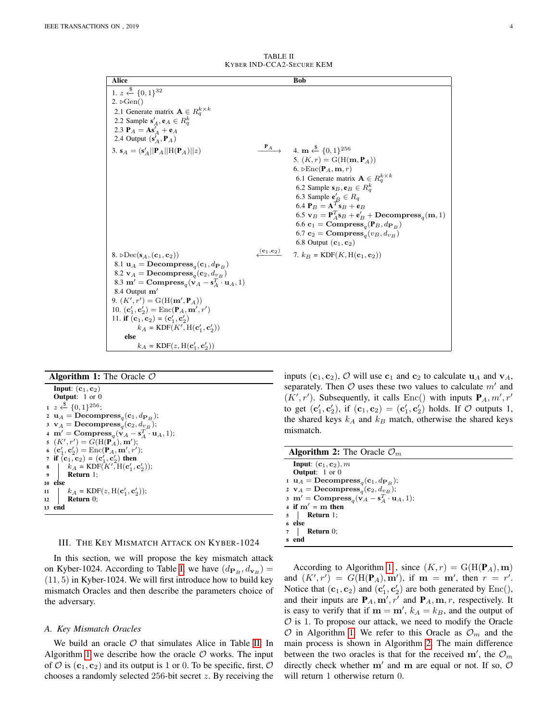<span id="page-3-1"></span>

| Alice                                                                                                                                                                                                                                                                                                                                                                                                                                                                                                                                                                                                              |                                     | <b>Bob</b>                                                                                                                                                                                                                                                                                                                                                                                                                                                                                                                                                                                                                                                                                       |
|--------------------------------------------------------------------------------------------------------------------------------------------------------------------------------------------------------------------------------------------------------------------------------------------------------------------------------------------------------------------------------------------------------------------------------------------------------------------------------------------------------------------------------------------------------------------------------------------------------------------|-------------------------------------|--------------------------------------------------------------------------------------------------------------------------------------------------------------------------------------------------------------------------------------------------------------------------------------------------------------------------------------------------------------------------------------------------------------------------------------------------------------------------------------------------------------------------------------------------------------------------------------------------------------------------------------------------------------------------------------------------|
| 1. $z \leftarrow \{0, 1\}^{32}$<br>$2. \rho Gen()$<br>2.1 Generate matrix $\mathbf{A} \in R_q^{k \times k}$<br>2.2 Sample $\mathbf{s}'_A, \mathbf{e}_A \in R_a^k$<br>2.3 $P_A = As'_A + e_A$<br>2.4 Output $(\mathbf{s}'_A, \mathbf{P}_A)$<br>3. $s_A = (s'_A    P_A    H(P_A)    z)$                                                                                                                                                                                                                                                                                                                              |                                     | $\stackrel{\mathbf{P}_A}{\longrightarrow}$ 4. m $\stackrel{\$}{\leftarrow} \{0,1\}^{256}$<br>5. $(K,r) = G(H(m, P_A))$<br>6. $\triangleright$ $\text{Enc}(\mathbf{P}_A, \mathbf{m}, r)$<br>6.1 Generate matrix $\mathbf{A} \in R_q^{k \times k}$<br>6.2 Sample $\mathbf{s}_B, \mathbf{e}_B \in R_a^k$<br>6.3 Sample $\mathbf{e}'_B \in R_q$<br>6.4 $\mathbf{P}_B = \mathbf{A}^T \mathbf{s}_B + \mathbf{e}_B$<br>6.5 $\mathbf{v}_B = \mathbf{P}_A^T \mathbf{s}_B + \mathbf{e}_B^{\prime} + \mathbf{Decompress}_q(\mathbf{m}, 1)$<br>6.6 $\mathbf{c}_1 = \mathbf{Compress}_q(\mathbf{P}_B, d_{\mathbf{P}_B})$<br>6.7 $\mathbf{c}_2 = \mathbf{Compress}_q(v_B, d_{v_B})$<br>6.8 Output $(c_1, c_2)$ |
| 8. $\triangleright \text{Dec}(\mathbf{s}_4, (\mathbf{c}_1, \mathbf{c}_2))$<br>8.1 $\mathbf{u}_A = \mathbf{Decompress}_q(\mathbf{c}_1, d_{\mathbf{P}_B})$<br>8.2 $\mathbf{v}_A = \mathbf{Decompress}_q(\mathbf{c}_2, d_{v_B})$<br>8.3 m' = $\text{Compress}_q(\mathbf{v}_A - \mathbf{s}_A^T \cdot \mathbf{u}_A, 1)$<br>8.4 Output $m'$<br>9. $(K', r') = G(H(m', P_A))$<br>10. $(c'_1, c'_2) = \text{Enc}(\mathbf{P}_A, \mathbf{m}', r')$<br>11. if $(c_1, c_2) = (c'_1, c'_2)$<br>$k_A = \text{KDF}(K', H(\mathbf{c}'_1, \mathbf{c}'_2))$<br>else<br>$k_A = \text{KDF}(z, \text{H}(\mathbf{c}'_1, \mathbf{c}'_2))$ | $\sigma(\mathbf{c}_1,\mathbf{c}_2)$ | 7. $k_B = \text{KDF}(K, H(\mathbf{c}_1, \mathbf{c}_2))$                                                                                                                                                                                                                                                                                                                                                                                                                                                                                                                                                                                                                                          |

TABLE II KYBER IND-CCA2-SECURE KEM

#### **Algorithm 1:** The Oracle  $\mathcal{O}$

Input:  $(c_1, c_2)$ Output: 1 or 0  $1 z \stackrel{\$}{\leftarrow} \{0,1\}^{256};$  $\mathbf{u}_A = \mathbf{Decompress}_q(\mathbf{c}_1, d_{\mathbf{P}_B});$  $\mathbf{v}_A = \mathbf{Decompress}_q(\mathbf{c}_2, d_{\underline{v}_B});$ 4  $\mathbf{m}' = \text{Compress}_q(\mathbf{v}_A - \mathbf{s}_A^T \cdot \mathbf{u}_A, 1);$ 5  $(K', r') = G(\text{H}(\textbf{P}_A), \textbf{m}');$ 6  $(c'_1, c'_2) = \text{Enc}(\mathbf{P}_A, \mathbf{m}', r');$ 7 if  $(c_1, c_2) = (c_1', c_2')$  then 8  $\bigg| \Bigg( k_A = \text{KDF}(K', \text{H}(\textbf{c}'_1, \textbf{c}'_2));$ <sup>9</sup> Return 1; <sup>10</sup> else 11 |  $k_A = \text{KDF}(z, H(c'_1, c'_2));$ 12 **Return** 0; <sup>13</sup> end

#### <span id="page-3-0"></span>III. THE KEY MISMATCH ATTACK ON KYBER-1024

In this section, we will propose the key mismatch attack on Kyber-1024. According to Table [I,](#page-2-0) we have  $(d_{\mathbf{P}_B}, d_{\mathbf{v}_B}) =$ (11, 5) in Kyber-1024. We will first introduce how to build key mismatch Oracles and then describe the parameters choice of the adversary.

#### *A. Key Mismatch Oracles*

We build an oracle  $\mathcal O$  that simulates Alice in Table [II.](#page-3-1) In Algorithm [1](#page-2-3) we describe how the oracle  $O$  works. The input of  $\mathcal O$  is  $(c_1, c_2)$  and its output is 1 or 0. To be specific, first,  $\mathcal O$ chooses a randomly selected 256-bit secret z. By receiving the inputs  $(c_1, c_2)$ , O will use  $c_1$  and  $c_2$  to calculate  $u_A$  and  $v_A$ , separately. Then  $O$  uses these two values to calculate  $m'$  and  $(K', r')$ . Subsequently, it calls Enc() with inputs  $P_A, m', r'$ to get  $(\mathbf{c}'_1, \mathbf{c}'_2)$ , if  $(\mathbf{c}_1, \mathbf{c}_2) = (\mathbf{c}'_1, \mathbf{c}'_2)$  holds. If  $\mathcal O$  outputs 1, the shared keys  $k_A$  and  $k_B$  match, otherwise the shared keys mismatch.

<span id="page-3-2"></span>

| <b>Algorithm 2:</b> The Oracle $\mathcal{O}_m$                                   |
|----------------------------------------------------------------------------------|
| Input: $(c_1, c_2)$ , m                                                          |
| <b>Output:</b> $1$ or $0$                                                        |
| 1 $\mathbf{u}_A = \textbf{Decompress}_q(\mathbf{c}_1, d_{\mathbf{P}_B});$        |
| 2 $\mathbf{v}_A = \mathbf{Decompress}_q(\mathbf{c}_2, d_{v_B});$                 |
| 3 m' = $\text{Compress}_q(\mathbf{v}_A - \mathbf{s}_A^T \cdot \mathbf{u}_A, 1);$ |
| 4 if $m' = m$ then                                                               |
| $5$   Return 1;                                                                  |
| 6 else                                                                           |
| $7$ Return 0;                                                                    |
| 8 end                                                                            |

According to Algorithm [1](#page-2-3), since  $(K, r) = G(H(P_A), m)$ and  $(K', r') = G(H(P_A), m')$ , if  $m = m'$ , then  $r = r'$ . Notice that  $(c_1, c_2)$  and  $(c'_1, c'_2)$  are both generated by  $Enc(),$ and their inputs are  $P_A$ ,  $m', r'$  and  $P_A$ ,  $m, r$ , respectively. It is easy to verify that if  $m = m'$ ,  $k_A = k_B$ , and the output of  $\mathcal O$  is 1. To propose our attack, we need to modify the Oracle  $\mathcal O$  in Algorithm [1.](#page-2-3) We refer to this Oracle as  $\mathcal O_m$  and the main process is shown in Algorithm [2.](#page-3-2) The main difference between the two oracles is that for the received m', the  $\mathcal{O}_m$ directly check whether  $m'$  and m are equal or not. If so,  $O$ will return 1 otherwise return 0.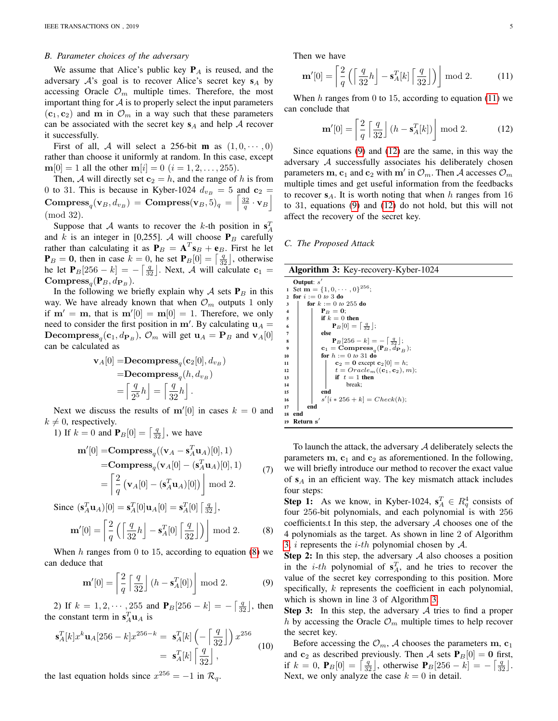### *B. Parameter choices of the adversary*

We assume that Alice's public key  $P_A$  is reused, and the adversary  $A$ 's goal is to recover Alice's secret key  $s_A$  by accessing Oracle  $\mathcal{O}_m$  multiple times. Therefore, the most important thing for  $A$  is to properly select the input parameters  $(c_1, c_2)$  and m in  $\mathcal{O}_m$  in a way such that these parameters can be associated with the secret key  $s_A$  and help A recover it successfully.

First of all, A will select a 256-bit **m** as  $(1, 0, \dots, 0)$ rather than choose it uniformly at random. In this case, except  $m[0] = 1$  all the other  $m[i] = 0$   $(i = 1, 2, ..., 255)$ .

Then, A will directly set  $c_2 = h$ , and the range of h is from 0 to 31. This is because in Kyber-1024  $d_{v_B} = 5$  and  $c_2 =$  $\textbf{Compress}_q(\mathbf{v}_B, d_{v_B}) = \textbf{Compress}(\mathbf{v}_B, \bar{\mathbf{5}})_q = \left\lceil \frac{32}{q} \cdot \mathbf{v}_B \right\rceil$  $(mod 32)$ 

Suppose that A wants to recover the k-th position in  $\mathbf{s}_A^T$ and k is an integer in [0,255]. A will choose  $P_B$  carefully rather than calculating it as  $P_B = A^T s_B + e_B$ . First he let  $P_B = 0$ , then in case  $k = 0$ , he set  $P_B[0] = \left[\frac{q}{32}\right]$ , otherwise he let  $P_B[256 - k] = -\left[\frac{q}{32}\right]$ . Next, A will calculate  $c_1 =$ Compress<sub>q</sub> $(\mathbf{P}_B, d_{\mathbf{P}_B})$ .

In the following we briefly explain why  $A$  sets  $P_B$  in this way. We have already known that when  $\mathcal{O}_m$  outputs 1 only if  $m' = m$ , that is  $m'[0] = m[0] = 1$ . Therefore, we only need to consider the first position in m'. By calculating  $\mathbf{u}_A =$ **Decompress**<sub>q</sub>(**c**<sub>1</sub>,  $d_{\mathbf{P}_B}$ ),  $\mathcal{O}_m$  will get  $\mathbf{u}_A = \mathbf{P}_B$  and  $\mathbf{v}_A[0]$ can be calculated as

$$
\mathbf{v}_A[0] = \mathbf{Decompress}_q(\mathbf{c}_2[0], d_{v_B})
$$
  
= \mathbf{Decompress}\_q(h, d\_{v\_B})  
= \left[\frac{q}{2^5}h\right] = \left[\frac{q}{32}h\right].

Next we discuss the results of  $m'[0]$  in cases  $k = 0$  and  $k \neq 0$ , respectively.

1) If 
$$
k = 0
$$
 and  $\mathbf{P}_B[0] = \begin{bmatrix} \frac{q}{32} \end{bmatrix}$ , we have  
\n
$$
\mathbf{m}'[0] = \mathbf{Compress}_q((\mathbf{v}_A - \mathbf{s}_A^T \mathbf{u}_A)[0], 1)
$$
\n
$$
= \mathbf{Compress}_q(\mathbf{v}_A[0] - (\mathbf{s}_A^T \mathbf{u}_A)[0], 1)
$$
\n
$$
= \begin{bmatrix} \frac{2}{q} (\mathbf{v}_A[0] - (\mathbf{s}_A^T \mathbf{u}_A)[0]) \end{bmatrix} \bmod 2.
$$
\n(7)

<span id="page-4-0"></span>Since 
$$
(\mathbf{s}_A^T \mathbf{u}_A)[0] = \mathbf{s}_A^T[0] \mathbf{u}_A[0] = \mathbf{s}_A^T[0] \begin{bmatrix} \frac{q}{32} \end{bmatrix}
$$
,  
\n $\mathbf{m}'[0] = \begin{bmatrix} \frac{2}{q} \left( \begin{bmatrix} \frac{q}{32} h \end{bmatrix} - \mathbf{s}_A^T[0] \begin{bmatrix} \frac{q}{32} \end{bmatrix} \right) \end{bmatrix} \text{mod } 2.$  (8)

When h ranges from 0 to 15, according to equation  $(8)$  we can deduce that

<span id="page-4-2"></span>
$$
\mathbf{m}'[0] = \left[\frac{2}{q} \left[\frac{q}{32}\right] (h - \mathbf{s}_A^T[0])\right] \bmod 2. \tag{9}
$$

2) If  $k = 1, 2, \dots, 255$  and  $\mathbf{P}_B[256 - k] = -\left[\frac{q}{32}\right]$ , then the constant term in  $\mathbf{s}_A^T \mathbf{u}_A$  is

$$
\mathbf{s}_A^T[k]x^k \mathbf{u}_A[256-k]x^{256-k} = \mathbf{s}_A^T[k] \left(-\left\lceil \frac{q}{32} \right\rceil\right) x^{256}
$$

$$
= \mathbf{s}_A^T[k] \left\lceil \frac{q}{32} \right\rceil,
$$
(10)

the last equation holds since  $x^{256} = -1$  in  $\mathcal{R}_q$ .

Then we have

<span id="page-4-1"></span>
$$
\mathbf{m}'[0] = \left[\frac{2}{q} \left( \left\lceil \frac{q}{32}h \right\rfloor - \mathbf{s}_A^T[k] \left\lceil \frac{q}{32} \right\rfloor \right) \mod 2. \tag{11}
$$

When h ranges from 0 to 15, according to equation  $(11)$  we can conclude that

<span id="page-4-3"></span>
$$
\mathbf{m}'[0] = \left\lceil \frac{2}{q} \left\lceil \frac{q}{32} \right\rfloor (h - \mathbf{s}_A^T[k]) \right\rfloor \mod 2. \tag{12}
$$

Since equations [\(9\)](#page-4-2) and [\(12\)](#page-4-3) are the same, in this way the adversary A successfully associates his deliberately chosen parameters  $\mathbf{m}, \mathbf{c}_1$  and  $\mathbf{c}_2$  with  $\mathbf{m}'$  in  $\mathcal{O}_m$ . Then A accesses  $\mathcal{O}_m$ multiple times and get useful information from the feedbacks to recover  $s_A$ . It is worth noting that when h ranges from 16 to 31, equations [\(9\)](#page-4-2) and [\(12\)](#page-4-3) do not hold, but this will not affect the recovery of the secret key.

#### <span id="page-4-4"></span>*C. The Proposed Attack*

|                |              | <b>Algorithm 3: Key-recovery-Kyber-1024</b>                             |
|----------------|--------------|-------------------------------------------------------------------------|
|                | Output: $s'$ |                                                                         |
|                |              | 1 Set $\mathbf{m} = \{1, 0, \cdots, 0\}^{256}$ ;                        |
|                |              | for $i := 0$ to 3 do                                                    |
| 3              |              | for $k := 0$ to 255 do                                                  |
| $\overline{4}$ |              | $P_B = 0$ ;                                                             |
| 5              |              | if $k=0$ then                                                           |
| 6              |              | $\mathbf{P}_B[0] = \left[\frac{q}{22}\right];$                          |
| $\overline{7}$ |              | else                                                                    |
| 8              |              | $\mathbf{P}_B[256-k] = -   \frac{q}{22}  ;$                             |
| 9              |              | $\mathbf{c}_1 = \mathbf{Compress}_{a}(\mathbf{P}_B, d_{\mathbf{P}_B});$ |
| 10             |              | for $h := 0$ to 31 do                                                   |
| 11             |              | $c2 = 0 except c2[0] = h;$                                              |
| 12             |              | $t = Oracle_m((\mathbf{c}_1, \mathbf{c}_2), m);$                        |
| 13             |              | if $t=1$ then                                                           |
| 14             |              | break;                                                                  |
| 15             |              | end                                                                     |
| 16             |              | $s'[i * 256 + k] = Check(h);$                                           |
| 17             | end          |                                                                         |
| 18             | end          |                                                                         |
| 19             | Return $s'$  |                                                                         |

To launch the attack, the adversary A deliberately selects the parameters  $m$ ,  $c_1$  and  $c_2$  as aforementioned. In the following, we will briefly introduce our method to recover the exact value of  $s_A$  in an efficient way. The key mismatch attack includes four steps:

**Step 1:** As we know, in Kyber-1024,  $\mathbf{s}_A^T \in R_q^4$  consists of four 256-bit polynomials, and each polynomial is with 256 coefficients.t In this step, the adversary  $A$  chooses one of the 4 polynomials as the target. As shown in line 2 of Algorithm [3,](#page-4-4) i represents the *i*-*th* polynomial chosen by  $A$ .

**Step 2:** In this step, the adversary  $A$  also chooses a position in the *i*-th polynomial of  $s_A^T$ , and he tries to recover the value of the secret key corresponding to this position. More specifically, k represents the coefficient in each polynomial, which is shown in line 3 of Algorithm [3.](#page-4-4)

**Step 3:** In this step, the adversary  $A$  tries to find a proper h by accessing the Oracle  $\mathcal{O}_m$  multiple times to help recover the secret key.

Before accessing the  $\mathcal{O}_m$ , A chooses the parameters m,  $c_1$ and  $c_2$  as described previously. Then A sets  $P_B[0] = 0$  first, if  $k = 0$ ,  $P_B[0] = \left[\frac{q}{32}\right]$ , otherwise  $P_B[256 - k] = -\left[\frac{q}{32}\right]$ . Next, we only analyze the case  $k = 0$  in detail.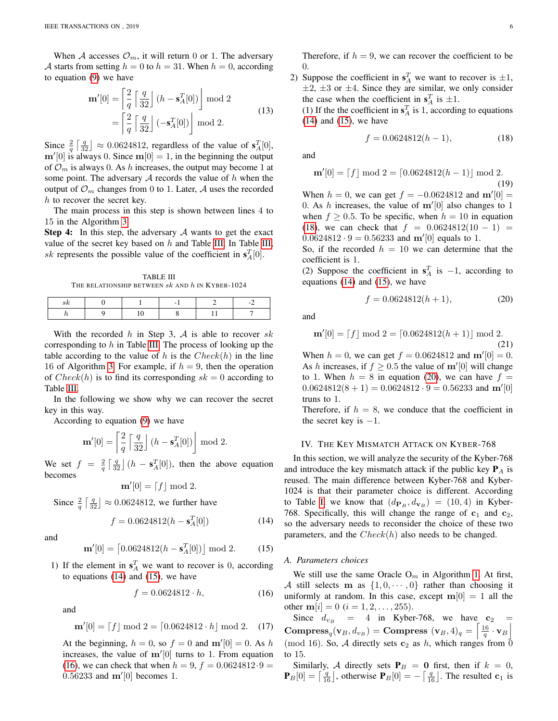When A accesses  $\mathcal{O}_m$ , it will return 0 or 1. The adversary A starts from setting  $h = 0$  to  $h = 31$ . When  $h = 0$ , according to equation [\(9\)](#page-4-2) we have

$$
\mathbf{m}'[0] = \left[\frac{2}{q} \left[\frac{q}{32}\right] (h - \mathbf{s}_A^T[0])\right] \text{ mod } 2
$$

$$
= \left[\frac{2}{q} \left[\frac{q}{32}\right] (-\mathbf{s}_A^T[0])\right] \text{ mod } 2.
$$
 (13)

Since  $\frac{2}{q} \left[ \frac{q}{32} \right] \approx 0.0624812$ , regardless of the value of  $s_A^T[0]$ ,  $m'[0]$  is always 0. Since  $m[0] = 1$ , in the beginning the output of  $\mathcal{O}_m$  is always 0. As h increases, the output may become 1 at some point. The adversary  $A$  records the value of  $h$  when the output of  $\mathcal{O}_m$  changes from 0 to 1. Later, A uses the recorded h to recover the secret key.

The main process in this step is shown between lines 4 to 15 in the Algorithm [3.](#page-4-4)

**Step 4:** In this step, the adversary  $\mathcal A$  wants to get the exact value of the secret key based on  $h$  and Table [III.](#page-5-1) In Table [III,](#page-5-1) sk represents the possible value of the coefficient in  $s_A^T[0]$ .

TABLE III THE RELATIONSHIP BETWEEN  $sk$  and  $h$  in Kyber-1024

<span id="page-5-1"></span>

With the recorded h in Step 3, A is able to recover sk corresponding to  $h$  in Table [III.](#page-5-1) The process of looking up the table according to the value of h is the  $Check(h)$  in the line 16 of Algorithm [3.](#page-4-4) For example, if  $h = 9$ , then the operation of  $Check(h)$  is to find its corresponding  $sk = 0$  according to Table [III.](#page-5-1)

In the following we show why we can recover the secret key in this way.

According to equation [\(9\)](#page-4-2) we have

$$
\mathbf{m}'[0] = \left\lceil \frac{2}{q} \left\lceil \frac{q}{32} \right\rfloor (h - \mathbf{s}_A^T[0]) \right\rfloor \text{ mod } 2.
$$

We set  $f = \frac{2}{q} \left[ \frac{q}{32} \right] (h - s_A^T[0])$ , then the above equation becomes

$$
\mathbf{m}'[0] = [f] \bmod 2.
$$

Since  $\frac{2}{q} \left[ \frac{q}{32} \right] \approx 0.0624812$ , we further have

<span id="page-5-2"></span>
$$
f = 0.0624812(h - \mathbf{s}_A^T[0])\tag{14}
$$

and

<span id="page-5-3"></span>
$$
\mathbf{m}'[0] = \begin{bmatrix} 0.0624812(h - \mathbf{s}_A^T[0]) \end{bmatrix} \bmod 2. \quad (15)
$$

1) If the element in  $s_A^T$  we want to recover is 0, according to equations  $(14)$  and  $(15)$ , we have

<span id="page-5-4"></span>
$$
f = 0.0624812 \cdot h,\tag{16}
$$

and

$$
\mathbf{m}'[0] = [f] \bmod 2 = [0.0624812 \cdot h] \bmod 2. \quad (17)
$$

At the beginning,  $h = 0$ , so  $f = 0$  and  $m'[0] = 0$ . As h increases, the value of  $m'[0]$  turns to 1. From equation [\(16\)](#page-5-4), we can check that when  $h = 9$ ,  $f = 0.0624812.9 =$  $0.56233$  and  $m'[0]$  becomes 1.

Therefore, if  $h = 9$ , we can recover the coefficient to be 0.

2) Suppose the coefficient in  $s_A^T$  we want to recover is  $\pm 1$ ,  $\pm 2$ ,  $\pm 3$  or  $\pm 4$ . Since they are similar, we only consider the case when the coefficient in  $s_A^T$  is  $\pm 1$ .

(1) If the the coefficient in  $\mathbf{s}_A^T$  is 1, according to equations [\(14\)](#page-5-2) and [\(15\)](#page-5-3), we have

<span id="page-5-5"></span>
$$
f = 0.0624812(h - 1),\tag{18}
$$

and

$$
\mathbf{m}'[0] = [f] \bmod 2 = [0.0624812(h-1)] \bmod 2.
$$
\n(19)

When  $h = 0$ , we can get  $f = -0.0624812$  and  $m'[0] =$ 0. As h increases, the value of  $m'[0]$  also changes to 1 when  $f > 0.5$ . To be specific, when  $h = 10$  in equation [\(18\)](#page-5-5), we can check that  $f = 0.0624812(10 - 1) =$  $0.0624812 \cdot 9 = 0.56233$  and m'[0] equals to 1.

So, if the recorded  $h = 10$  we can determine that the coefficient is 1.

(2) Suppose the coefficient in  $s_A^T$  is  $-1$ , according to equations [\(14\)](#page-5-2) and [\(15\)](#page-5-3), we have

<span id="page-5-6"></span>
$$
f = 0.0624812(h+1),\tag{20}
$$

and

$$
\mathbf{m}'[0] = [f] \bmod 2 = [0.0624812(h+1)] \bmod 2.
$$
\n(21)

When  $h = 0$ , we can get  $f = 0.0624812$  and  $m'[0] = 0$ . As h increases, if  $f \geq 0.5$  the value of m'[0] will change to 1. When  $h = 8$  in equation [\(20\)](#page-5-6), we can have  $f =$  $0.0624812(8 + 1) = 0.0624812 \cdot 9 = 0.56233$  and m'[0] truns to 1.

Therefore, if  $h = 8$ , we conduce that the coefficient in the secret key is  $-1$ .

# <span id="page-5-0"></span>IV. THE KEY MISMATCH ATTACK ON KYBER-768

In this section, we will analyze the security of the Kyber-768 and introduce the key mismatch attack if the public key  $P_A$  is reused. The main difference between Kyber-768 and Kyber-1024 is that their parameter choice is different. According to Table [I,](#page-2-0) we know that  $(d_{\mathbf{P}_B}, d_{\mathbf{v}_B}) = (10, 4)$  in Kyber-768. Specifically, this will change the range of  $c_1$  and  $c_2$ , so the adversary needs to reconsider the choice of these two parameters, and the  $Check(h)$  also needs to be changed.

# *A. Parameters choices*

We still use the same Oracle  $O_m$  in Algorithm [1.](#page-2-3) At first, A still selects **m** as  $\{1, 0, \dots, 0\}$  rather than choosing it uniformly at random. In this case, except  $m[0] = 1$  all the other  $m[i] = 0$   $(i = 1, 2, ..., 255)$ .

Since  $d_{v_B} = 4$  in Kyber-768, we have  $c_2 =$ Compress<sub>q</sub> $(\mathbf{v}_B, d_{v_B}) =$ Compress  $(\mathbf{v}_B, 4)_q = \left[\frac{16}{q} \cdot \mathbf{v}_B\right]$ (mod 16). So, A directly sets  $c_2$  as h, which ranges from  $\bar{0}$ to 15.

Similarly, A directly sets  $P_B = 0$  first, then if  $k = 0$ ,  $\mathbf{P}_B[0] = \begin{bmatrix} \frac{q}{16} \end{bmatrix}$ , otherwise  $\mathbf{P}_B[0] = -\begin{bmatrix} \frac{q}{16} \end{bmatrix}$ . The resulted  $\mathbf{c}_1$  is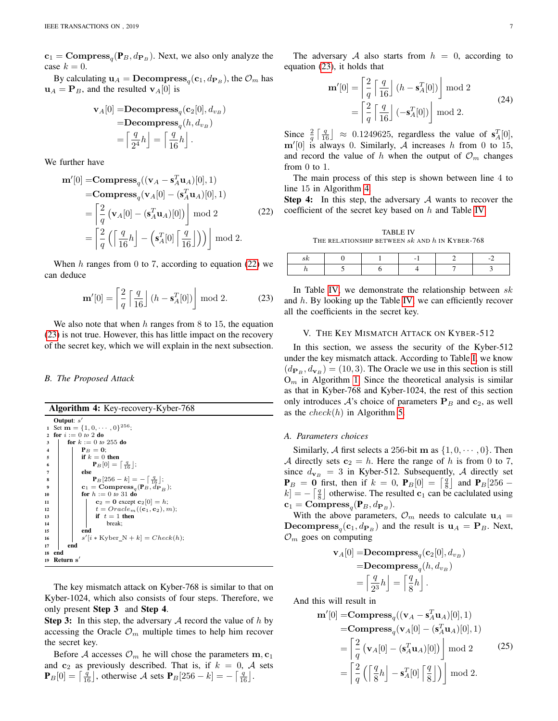$c_1 = \text{Compress}_q(\mathbf{P}_B, d_{\mathbf{P}_B})$ . Next, we also only analyze the case  $k = 0$ .

By calculating  $\mathbf{u}_A = \mathbf{Decompress}_q(\mathbf{c}_1, d_{\mathbf{P}_B})$ , the  $\mathcal{O}_m$  has  $\mathbf{u}_A = \mathbf{P}_B$ , and the resulted  $\mathbf{v}_A[0]$  is

$$
\mathbf{v}_A[0] = \mathbf{Decompress}_q(\mathbf{c}_2[0], d_{v_B})
$$

$$
= \mathbf{Decompress}_q(h, d_{v_B})
$$

$$
= \left\lceil \frac{q}{2^4}h \right\rceil = \left\lceil \frac{q}{16}h \right\rceil.
$$

We further have

<span id="page-6-1"></span>
$$
\mathbf{m}'[0] = \mathbf{Compress}_q((\mathbf{v}_A - \mathbf{s}_A^T \mathbf{u}_A)[0], 1)
$$
  
= 
$$
\mathbf{Compress}_q(\mathbf{v}_A[0] - (\mathbf{s}_A^T \mathbf{u}_A)[0], 1)
$$
  
= 
$$
\begin{bmatrix} 2 \\ \frac{1}{q} (\mathbf{v}_A[0] - (\mathbf{s}_A^T \mathbf{u}_A)[0]) \end{bmatrix} \mod 2
$$
 (22)  
= 
$$
\begin{bmatrix} 2 \\ \frac{1}{q} (\begin{bmatrix} \frac{q}{16}h \end{bmatrix} - (\mathbf{s}_A^T [0] \begin{bmatrix} \frac{q}{16} \end{bmatrix})) \end{bmatrix} \mod 2.
$$

When  $h$  ranges from 0 to 7, according to equation [\(22\)](#page-6-1) we can deduce

<span id="page-6-2"></span>
$$
\mathbf{m}'[0] = \left\lceil \frac{2}{q} \left\lceil \frac{q}{16} \right\rfloor (h - \mathbf{s}_A^T[0]) \right\rfloor \bmod 2. \tag{23}
$$

We also note that when  $h$  ranges from 8 to 15, the equation [\(23\)](#page-6-2) is not true. However, this has little impact on the recovery of the secret key, which we will explain in the next subsection.

#### <span id="page-6-3"></span>*B. The Proposed Attack*

Algorithm 4: Key-recovery-Kyber-768

```
Output: s'1 Set \mathbf{m} = \{1, 0, \cdots, 0\}^{256};
2 for i := 0 to 2 do
3 | for k := 0 to 255 do
4 | | P_B = 0;
5 if k = 0 then
 6 P<sub>B</sub>[0] = \lceil \frac{q}{16} \rfloor;
7 else
 8 P<sub>B</sub>[256 – k] = - \lceil \frac{q}{16} \rceil;
 \mathbf{e}_1 = \mathbf{Compress}_q(\mathbf{P}_B, d_{\mathbf{P}_B});10 \vert for h := 0 to 31 do
11 c<sub>2</sub> = 0 except c<sub>2</sub>[0] = h;<br>
t = Oracle<sub>m</sub>((c<sub>1</sub>, c<sub>2</sub>), n
12 t = Oracle_m((c_1, c_2), m);<br>
if t = 1 then
\begin{array}{c|c} 13 \\ 14 \end{array} if t = 1 then<br>break;
                             break;
15 end
16 | \vert \vert s
                   '[i * Kyber_N + k] = Check(h);\begin{array}{c|c} 17 & \text{end} \\ 18 & \text{end} \end{array}end
19 Return s
                \overline{ }
```
The key mismatch attack on Kyber-768 is similar to that on Kyber-1024, which also consists of four steps. Therefore, we only present Step 3 and Step 4.

**Step 3:** In this step, the adversary  $A$  record the value of  $h$  by accessing the Oracle  $\mathcal{O}_m$  multiple times to help him recover the secret key.

Before A accesses  $\mathcal{O}_m$  he will chose the parameters  $\mathbf{m}, \mathbf{c}_1$ and  $c_2$  as previously described. That is, if  $k = 0$ , A sets  $\mathbf{P}_B[0] = \left[\frac{\bar{q}}{16}\right]$ , otherwise A sets  $\mathbf{P}_B[256 - k] = -\left[\frac{q}{16}\right]$ .

The adversary A also starts from  $h = 0$ , according to equation [\(23\)](#page-6-2), it holds that

$$
\mathbf{n}'[0] = \left[\frac{2}{q} \left[\frac{q}{16}\right] (h - \mathbf{s}_A^T[0])\right] \text{ mod } 2
$$

$$
= \left[\frac{2}{q} \left[\frac{q}{16}\right] (-\mathbf{s}_A^T[0])\right] \text{ mod } 2.
$$
 (24)

Since  $\frac{2}{q} \left[ \frac{q}{16} \right] \approx 0.1249625$ , regardless the value of  $s_A^T[0]$ ,  $m'[0]$  is always 0. Similarly, A increases h from 0 to 15, and record the value of h when the output of  $\mathcal{O}_m$  changes from 0 to 1.

The main process of this step is shown between line 4 to line 15 in Algorithm [4.](#page-6-3)

**Step 4:** In this step, the adversary  $A$  wants to recover the coefficient of the secret key based on h and Table [IV.](#page-6-4)

TABLE IV THE RELATIONSHIP BETWEEN  $sk$  and  $h$  in Kyber-768

<span id="page-6-4"></span>

In Table [IV,](#page-6-4) we demonstrate the relationship between  $sk$ and h. By looking up the Table [IV,](#page-6-4) we can efficiently recover all the coefficients in the secret key.

#### V. THE KEY MISMATCH ATTACK ON KYBER-512

<span id="page-6-0"></span>In this section, we assess the security of the Kyber-512 under the key mismatch attack. According to Table [I,](#page-2-0) we know  $(d_{\mathbf{P}_B}, d_{\mathbf{v}_B}) = (10, 3)$ . The Oracle we use in this section is still  $O_m$  in Algorithm [1.](#page-2-3) Since the theoretical analysis is similar as that in Kyber-768 and Kyber-1024, the rest of this section only introduces  $A$ 's choice of parameters  $P_B$  and  $c_2$ , as well as the  $check(h)$  in Algorithm [5.](#page-7-1)

# *A. Parameters choices*

m<sup>0</sup>

Similarly, A first selects a 256-bit m as  $\{1, 0, \dots, 0\}$ . Then A directly sets  $c_2 = h$ . Here the range of h is from 0 to 7, since  $d_{\mathbf{v}_B} = 3$  in Kyber-512. Subsequently, A directly set  $P_B = 0$  first, then if  $k = 0$ ,  $P_B[0] = \begin{bmatrix} \frac{q}{8} \end{bmatrix}$  and  $P_B[256$  $k$ ] =  $-\left[\frac{q}{8}\right]$  otherwise. The resulted c<sub>1</sub> can be caclulated using  $\mathbf{c}_1 = \mathbf{Compress}_q(\mathbf{P}_B, d_{\mathbf{P}_B}).$ 

With the above parameters,  $\mathcal{O}_m$  needs to calculate  $\mathbf{u}_A =$ **Decompress**<sub>q</sub>(**c**<sub>1</sub>,  $d_{P_B}$ ) and the result is  $u_A = P_B$ . Next,  $\mathcal{O}_m$  goes on computing

$$
\mathbf{v}_A[0] = \mathbf{Decompress}_q(\mathbf{c}_2[0], d_{v_B})
$$

$$
= \mathbf{Decompress}_q(h, d_{v_B})
$$

$$
= \left\lceil \frac{q}{2^3}h \right\rceil = \left\lceil \frac{q}{8}h \right\rceil.
$$

And this will result in

<span id="page-6-5"></span>
$$
\mathbf{m}'[0] = \mathbf{Compress}_q((\mathbf{v}_A - \mathbf{s}_A^T \mathbf{u}_A)[0], 1)
$$
  
= 
$$
\mathbf{Compress}_q(\mathbf{v}_A[0] - (\mathbf{s}_A^T \mathbf{u}_A)[0], 1)
$$
  
= 
$$
\begin{bmatrix} 2 \\ \frac{1}{q} (\mathbf{v}_A[0] - (\mathbf{s}_A^T \mathbf{u}_A)[0]) \end{bmatrix} \mod 2
$$
 (25)  
= 
$$
\begin{bmatrix} 2 \\ \frac{1}{q} (\begin{bmatrix} \frac{q}{8}h \end{bmatrix} - \mathbf{s}_A^T[0] \begin{bmatrix} \frac{q}{8} \end{bmatrix}) \end{bmatrix} \mod 2.
$$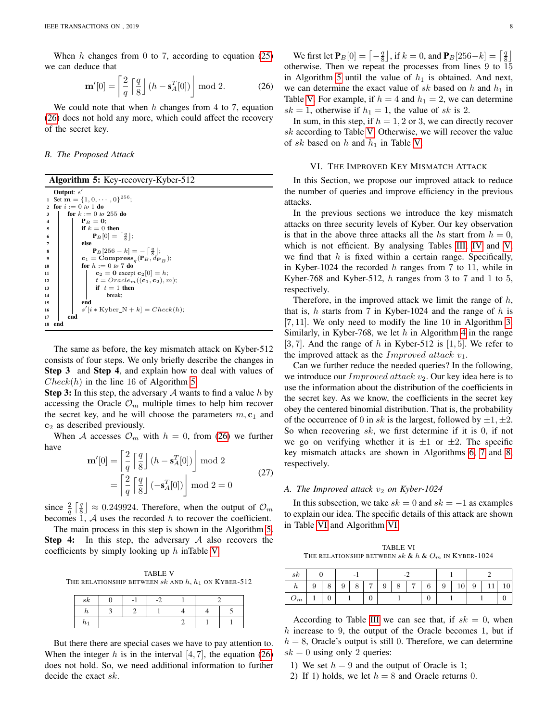When  $h$  changes from 0 to 7, according to equation [\(25\)](#page-6-5) we can deduce that

<span id="page-7-2"></span>
$$
\mathbf{m}'[0] = \left\lceil \frac{2}{q} \left\lceil \frac{q}{8} \right\rfloor (h - \mathbf{s}_A^T[0]) \right\rfloor \mod 2. \tag{26}
$$

We could note that when h changes from 4 to 7, equation [\(26\)](#page-7-2) does not hold any more, which could affect the recovery of the secret key.

### *B. The Proposed Attack*

<span id="page-7-1"></span>

|                  |              | <b>Algorithm 5: Key-recovery-Kyber-512</b>                              |
|------------------|--------------|-------------------------------------------------------------------------|
|                  | Output: $s'$ |                                                                         |
| $\mathbf{1}$     |              | Set $\mathbf{m} = \{1, 0, \cdots, 0\}^{256}$ ;                          |
| $\mathbf{2}$     |              | for $i := 0$ to 1 do                                                    |
| 3                |              | for $k := 0$ to 255 do                                                  |
| $\overline{4}$   |              | $P_B = 0$ :                                                             |
| 5                |              | if $k=0$ then                                                           |
| 6                |              | $\mathbf{P}_B[0] = \left[\frac{q}{8}\right];$                           |
| 7                |              | else                                                                    |
| 8                |              | $\mathbf{P}_B[256-k] = -   \frac{q}{8}  ;$                              |
| $\boldsymbol{9}$ |              | $\mathbf{c}_1 = \mathbf{Compress}_{a}(\mathbf{P}_B, d_{\mathbf{P}_B});$ |
| 10               |              | for $h := 0$ to 7 do                                                    |
| 11               |              | $c2 = 0 except c2[0] = h;$                                              |
| 12               |              | $t = Oracle_m((\mathbf{c}_1, \mathbf{c}_2), m);$                        |
| 13               |              | if $t=1$ then                                                           |
| 14               |              | break;                                                                  |
| 15               |              | end                                                                     |
| 16               |              | $s'[i * Kyber_N + k] = Check(h);$                                       |
| 17               |              | end                                                                     |
| 18               | end          |                                                                         |

The same as before, the key mismatch attack on Kyber-512 consists of four steps. We only briefly describe the changes in Step 3 and Step 4, and explain how to deal with values of  $Check(h)$  in the line 16 of Algorithm [5.](#page-7-1)

**Step 3:** In this step, the adversary  $A$  wants to find a value h by accessing the Oracle  $\mathcal{O}_m$  multiple times to help him recover the secret key, and he will choose the parameters  $m, c_1$  and  $c<sub>2</sub>$  as described previously.

When A accesses  $\mathcal{O}_m$  with  $h = 0$ , from [\(26\)](#page-7-2) we further have

$$
\mathbf{m}'[0] = \left[\frac{2}{q} \left[\frac{q}{8}\right] (h - \mathbf{s}_A^T[0])\right] \text{ mod } 2
$$

$$
= \left[\frac{2}{q} \left[\frac{q}{8}\right] (-\mathbf{s}_A^T[0])\right] \text{ mod } 2 = 0
$$
 (27)

since  $\frac{2}{q} \left[ \frac{q}{8} \right] \approx 0.249924$ . Therefore, when the output of  $\mathcal{O}_m$ becomes 1,  $\mathcal A$  uses the recorded  $h$  to recover the coefficient.

The main process in this step is shown in the Algorithm [5.](#page-7-1) **Step 4:** In this step, the adversary  $\mathcal A$  also recovers the coefficients by simply looking up h inTable [V.](#page-7-3)

<span id="page-7-3"></span>TABLE V THE RELATIONSHIP BETWEEN  $sk$  and  $h$ ,  $h_1$  on Kyber-512

| sk      | - |  |  |
|---------|---|--|--|
|         |   |  |  |
| $\mu_1$ |   |  |  |

But there there are special cases we have to pay attention to. When the integer h is in the interval  $[4, 7]$ , the equation [\(26\)](#page-7-2) does not hold. So, we need additional information to further decide the exact sk.

We first let  $\mathbf{P}_B[0] = \begin{bmatrix} -\frac{q}{8} \end{bmatrix}$ , if  $k = 0$ , and  $\mathbf{P}_B[256-k] = \begin{bmatrix} \frac{q}{8} \end{bmatrix}$ otherwise. Then we repeat the processes from lines 9 to 15 in Algorithm [5](#page-7-1) until the value of  $h_1$  is obtained. And next, we can determine the exact value of sk based on h and  $h_1$  in Table [V.](#page-7-3) For example, if  $h = 4$  and  $h_1 = 2$ , we can determine  $sk = 1$ , otherwise if  $h_1 = 1$ , the value of sk is 2.

In sum, in this step, if  $h = 1, 2$  or 3, we can directly recover sk according to Table [V.](#page-7-3) Otherwise, we will recover the value of sk based on h and  $h_1$  in Table [V.](#page-7-3)

# VI. THE IMPROVED KEY MISMATCH ATTACK

<span id="page-7-0"></span>In this Section, we propose our improved attack to reduce the number of queries and improve efficiency in the previous attacks.

In the previous sections we introduce the key mismatch attacks on three security levels of Kyber. Our key observation is that in the above three attacks all the hs start from  $h = 0$ , which is not efficient. By analysing Tables [III,](#page-5-1) [IV](#page-6-4) and [V,](#page-7-3) we find that  $h$  is fixed within a certain range. Specifically, in Kyber-1024 the recorded  $h$  ranges from 7 to 11, while in Kyber-768 and Kyber-512,  $h$  ranges from 3 to 7 and 1 to 5, respectively.

Therefore, in the improved attack we limit the range of  $h$ , that is, h starts from 7 in Kyber-1024 and the range of h is [7, 11]. We only need to modify the line 10 in Algorithm [3.](#page-4-4) Similarly, in Kyber-768, we let h in Algorithm [4](#page-6-3) in the range [3, 7]. And the range of h in Kyber-512 is [1, 5]. We refer to the improved attack as the Improved attack  $v_1$ .

Can we further reduce the needed queries? In the following, we introduce our *Improved attack v*<sub>2</sub>. Our key idea here is to use the information about the distribution of the coefficients in the secret key. As we know, the coefficients in the secret key obey the centered binomial distribution. That is, the probability of the occurrence of 0 in sk is the largest, followed by  $\pm 1, \pm 2$ . So when recovering  $sk$ , we first determine if it is 0, if not we go on verifying whether it is  $\pm 1$  or  $\pm 2$ . The specific key mismatch attacks are shown in Algorithms [6,](#page-7-4) [7](#page-8-1) and [8,](#page-8-2) respectively.

# *A. The Improved attack*  $v_2$  *on Kyber-1024*

In this subsection, we take  $sk = 0$  and  $sk = -1$  as examples to explain our idea. The specific details of this attack are shown in Table [VI](#page-7-5) and Algorithm [VI.](#page-7-5)

TABLE VI THE RELATIONSHIP BETWEEN  $sk\ \&\ h\ \&\ O_{m}$  IN KYBER-1024

<span id="page-7-5"></span>

| sк                               |   |   | -      |   |                |        |   |                |   |   |   |               |  |    |
|----------------------------------|---|---|--------|---|----------------|--------|---|----------------|---|---|---|---------------|--|----|
| n                                | 9 | Ο | Q<br>v | 8 | $\overline{ }$ | Q<br>◡ | 8 | $\overline{ }$ | 6 | 9 | ◡ | $\Omega$<br>◡ |  | 10 |
| $\cup$ <sup><math>m</math></sup> |   |   |        |   | υ              |        |   |                |   |   |   |               |  |    |

According to Table [III](#page-5-1) we can see that, if  $sk = 0$ , when h increase to 9, the output of the Oracle becomes 1, but if  $h = 8$ , Oracle's output is still 0. Therefore, we can determine  $sk = 0$  using only 2 queries:

- <span id="page-7-4"></span>1) We set  $h = 9$  and the output of Oracle is 1;
- 2) If 1) holds, we let  $h = 8$  and Oracle returns 0.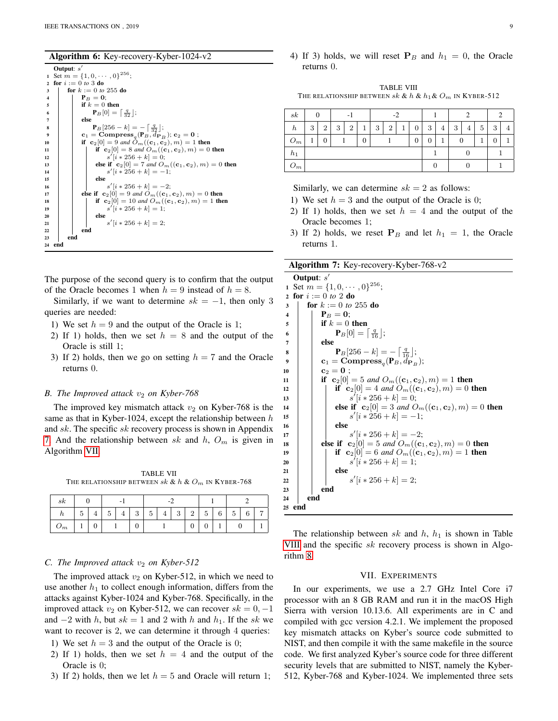#### Algorithm 6: Key-recovery-Kyber-1024-v2

|                | Output: $s'$                                                                                        |
|----------------|-----------------------------------------------------------------------------------------------------|
| $\mathbf{1}$   | Set $m = \{1, 0, \cdots, 0\}^{256}$ ;                                                               |
| $\overline{2}$ | for $i := 0$ to 3 do                                                                                |
| 3              | for $k := 0$ to 255 do                                                                              |
| $\overline{4}$ | $P_B = 0$ :                                                                                         |
| 5              | if $k=0$ then                                                                                       |
| 6              | ${\bf P}_B[0] = \left  \frac{q}{22} \right $ ;                                                      |
| $\overline{7}$ | else                                                                                                |
| 8              | $\mathbf{P}_B[256-k] = -   \frac{q}{32}  ;$                                                         |
| 9              | $\mathbf{c}_1 = \mathbf{Compress}_{a}(\mathbf{P}_B, d_{\mathbf{P}_B}); \mathbf{c}_2 = \mathbf{0}$ ; |
| 10             | if ${\bf c}_2[0] = 9$ and $O_m({\bf c}_1, {\bf c}_2), m$ = 1 then                                   |
| 11             | if ${\bf c}_2[0] = 8$ and $O_m({\bf c}_1, {\bf c}_2), m) = 0$ then                                  |
| 12             | $s'[i * 256 + k] = 0;$                                                                              |
| 13             | else if ${\bf c}_2[0] = 7$ and $O_m({\bf c}_1, {\bf c}_2), m) = 0$ then                             |
| 14             | $s'[i * 256 + k] = -1;$                                                                             |
| 15             | else                                                                                                |
| 16             | $s'[i * 256 + k] = -2;$                                                                             |
| 17             | else if ${\bf c}_2[0] = 9$ and $O_m({\bf c}_1, {\bf c}_2), m) = 0$ then                             |
| 18             | if ${\bf c}_2[0] = 10$ and $O_m({\bf c}_1, {\bf c}_2), m) = 1$ then                                 |
| 19             | $s'[i * 256 + k] = 1$ :                                                                             |
| 20             | else                                                                                                |
| 21             | $s'[i * 256 + k] = 2;$                                                                              |
| 22             | end                                                                                                 |
| 23             | end                                                                                                 |
| 24             | end                                                                                                 |

The purpose of the second query is to confirm that the output of the Oracle becomes 1 when  $h = 9$  instead of  $h = 8$ .

Similarly, if we want to determine  $sk = -1$ , then only 3 queries are needed:

- 1) We set  $h = 9$  and the output of the Oracle is 1;
- 2) If 1) holds, then we set  $h = 8$  and the output of the Oracle is still 1;
- 3) If 2) holds, then we go on setting  $h = 7$  and the Oracle returns 0.

# *B. The Improved attack*  $v_2$  *on Kyber-768*

The improved key mismatch attack  $v_2$  on Kyber-768 is the same as that in Kyber-1024, except the relationship between  $h$ and sk. The specific sk recovery process is shown in Appendix [7.](#page-8-1) And the relationship between sk and  $h$ ,  $O_m$  is given in Algorithm [VII.](#page-8-3)

TABLE VII THE RELATIONSHIP BETWEEN sk & h &  $O_m$  IN KYBER-768

<span id="page-8-3"></span>

| $_{sk}$          |        |              | -           |       |               |             |                |               |               |   |   |        |   |                |
|------------------|--------|--------------|-------------|-------|---------------|-------------|----------------|---------------|---------------|---|---|--------|---|----------------|
| $\boldsymbol{n}$ | -<br>G | $\mathbf{H}$ | ۔<br>∽<br>◡ | $\pm$ | $\Omega$<br>ಀ | -<br>ь<br>◡ | $\overline{4}$ | $\Omega$<br>◡ | $\Omega$<br>▵ | 5 | 6 | к<br>◡ | 6 | $\overline{ }$ |
| $\cup_m$         |        | ν            |             |       | ν             |             |                |               | ν             | v |   |        |   |                |

#### *C. The Improved attack*  $v_2$  *on Kyber-512*

The improved attack  $v_2$  on Kyber-512, in which we need to use another  $h_1$  to collect enough information, differs from the attacks against Kyber-1024 and Kyber-768. Specifically, in the improved attack  $v_2$  on Kyber-512, we can recover  $sk = 0, -1$ and  $-2$  with h, but  $sk = 1$  and 2 with h and  $h_1$ . If the sk we want to recover is 2, we can determine it through 4 queries:

- 1) We set  $h = 3$  and the output of the Oracle is 0;
- 2) If 1) holds, then we set  $h = 4$  and the output of the Oracle is 0;
- 3) If 2) holds, then we let  $h = 5$  and Oracle will return 1;

4) If 3) holds, we will reset  $P_B$  and  $h_1 = 0$ , the Oracle returns 0.

<span id="page-8-4"></span>TABLE VIII THE RELATIONSHIP BETWEEN  $sk \& h \& h_1 \& O_m$  IN KYBER-512

| $_{sk}$          | 0 |                |   |                |   | $-2$                     |  |                |   |   |   |   |   | $\mathcal{L}$ |  |  |
|------------------|---|----------------|---|----------------|---|--------------------------|--|----------------|---|---|---|---|---|---------------|--|--|
| $\boldsymbol{h}$ | 3 | $\overline{2}$ | 3 | $\overline{2}$ | 1 | $\overline{2}$<br>3<br>1 |  |                | 3 | 4 | 3 | 4 | 5 | 3             |  |  |
| $O_m$            |   | 0              |   |                | 0 |                          |  | $\overline{0}$ |   |   |   |   |   |               |  |  |
| $h_1$            |   |                |   |                |   |                          |  |                |   |   |   |   |   |               |  |  |
| $O_m$            |   |                |   |                |   |                          |  |                |   |   |   |   |   |               |  |  |

Similarly, we can determine  $sk = 2$  as follows:

- 1) We set  $h = 3$  and the output of the Oracle is 0;
- 2) If 1) holds, then we set  $h = 4$  and the output of the Oracle becomes 1;
- 3) If 2) holds, we reset  $P_B$  and let  $h_1 = 1$ , the Oracle returns 1.

<span id="page-8-1"></span>Algorithm 7: Key-recovery-Kyber-768-v2

Output: s  $\prime$ 1 Set  $m = \{1, 0, \cdots, 0\}^{256}$ ; 2 for  $i := 0$  *to* 2 **do** 3  $\int$  **for**  $k := 0$  *to* 255 **do** 4 | |  $P_B = 0;$  $5 \mid \cdot \cdot \cdot \cdot \cdot k = 0$  then 6  $\mathbf{P}_B[0] = \begin{bmatrix} \frac{q}{16} \end{bmatrix};$  $7$  lelse 8 **P**<sub>B</sub>[256 – k] =  $-\left[\frac{q}{16}\right]$ ;  $\textbf{e}_1 = \textbf{Compress}_q(\textbf{P}_B, d_{\textbf{P}_B});$ 10  $\Big| \Big| \mathbf{c}_2 = \mathbf{0}$ ; 11 **if**  $c_2[0] = 5$  *and*  $O_m((c_1, c_2), m) = 1$  **then** 12 **if**  $c_2[0] = 4$  *and*  $O_m((c_1, c_2), m) = 0$  then  $\begin{array}{c|c|c|c|c} \hline \end{array}$  s  $[*i* * 256 + *k*] = 0;$ 14 **else if**  $c_2[0] = 3$  *and*  $O_m((c_1, c_2), m) = 0$  then 15  $\vert$   $\vert$   $\vert$  s  $'[i * 256 + k] = -1;$ 16 | | | else 17 | | |  $s$  $'[i * 256 + k] = -2;$ 18 **else if**  $c_2[0] = 5$  *and*  $O_m((c_1, c_2), m) = 0$  then 19 **if**  $c_2[0] = 6$  *and*  $O_m((c_1, c_2), m) = 1$  then 20 | | |  $s$  $\bigl( i * 256 + k \bigr) = 1;$  $21$  else 22 | | |  $s$  $'[i * 256 + k] = 2;$  $23$  end  $24$  end <sup>25</sup> end

<span id="page-8-2"></span>The relationship between sk and  $h$ ,  $h_1$  is shown in Table [VIII](#page-8-4) and the specific  $sk$  recovery process is shown in Algorithm [8.](#page-8-2)

# VII. EXPERIMENTS

<span id="page-8-0"></span>In our experiments, we use a 2.7 GHz Intel Core i7 processor with an 8 GB RAM and run it in the macOS High Sierra with version 10.13.6. All experiments are in C and compiled with gcc version 4.2.1. We implement the proposed key mismatch attacks on Kyber's source code submitted to NIST, and then compile it with the same makefile in the source code. We first analyzed Kyber's source code for three different security levels that are submitted to NIST, namely the Kyber-512, Kyber-768 and Kyber-1024. We implemented three sets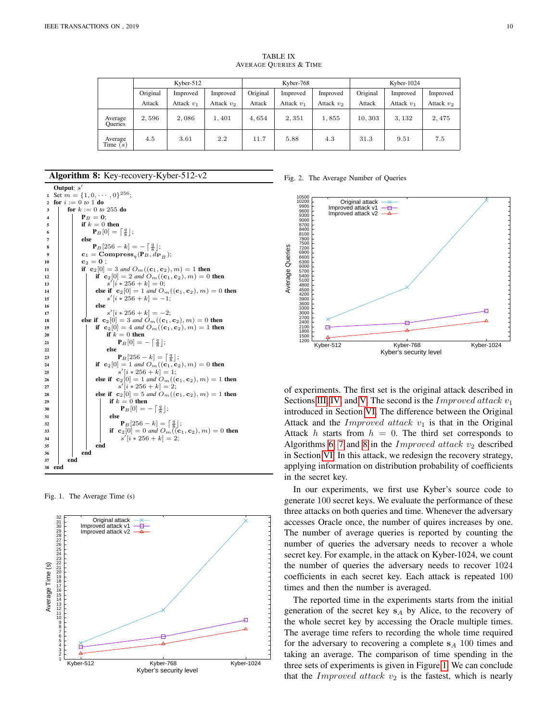<span id="page-9-2"></span>

|                           | Kyber- $512$ |              |              | Kyber-768 |              |              | Kyber- $1024$ |              |              |
|---------------------------|--------------|--------------|--------------|-----------|--------------|--------------|---------------|--------------|--------------|
|                           | Original     | Improved     | Improved     | Original  | Improved     | Improved     | Original      | Improved     | Improved     |
|                           | Attack       | Attack $v_1$ | Attack $v_2$ | Attack    | Attack $v_1$ | Attack $v_2$ | Attack        | Attack $v_1$ | Attack $v_2$ |
| Average<br><b>Oueries</b> | 2,596        | 2,086        | 1,401        | 4,654     | 2,351        | 1,855        | 10,303        | 3,132        | 2,475        |
| Average<br>Time $(s)$     | 4.5          | 3.61         | 2.2          | 11.7      | 5.88         | 4.3          | 31.3          | 9.51         | 7.5          |

TABLE IX AVERAGE QUERIES & TIME

# Algorithm 8: Key-recovery-Kyber-512-v2

|                         | Output: $s'$                          |     |                                                                                               |  |  |  |  |  |
|-------------------------|---------------------------------------|-----|-----------------------------------------------------------------------------------------------|--|--|--|--|--|
| 1                       | Set $m = \{1, 0, \cdots, 0\}^{256}$ ; |     |                                                                                               |  |  |  |  |  |
| $\mathbf{2}$            | for $i := 0$ to 1 do                  |     |                                                                                               |  |  |  |  |  |
| 3                       | for $k := 0$ to 255 do                |     |                                                                                               |  |  |  |  |  |
| $\overline{\mathbf{4}}$ |                                       |     | $P_B = 0;$                                                                                    |  |  |  |  |  |
| 5                       |                                       |     | if $k = 0$ then                                                                               |  |  |  |  |  |
| 6                       |                                       |     | $\mathbf{P}_B[0] = \begin{bmatrix} \frac{q}{8} \end{bmatrix};$                                |  |  |  |  |  |
| 7                       |                                       |     | else                                                                                          |  |  |  |  |  |
| 8                       |                                       |     | ${\bf P}_B[256-k] = -\left[\frac{q}{8}\right];$                                               |  |  |  |  |  |
| 9                       |                                       |     | $\mathbf{c}_1 = \mathbf{Compress}_q(\mathbf{P}_B, \mathbf{\hat{d}_{P}}_B);$                   |  |  |  |  |  |
| 10                      |                                       |     | $c_2 = 0;$                                                                                    |  |  |  |  |  |
| 11                      |                                       |     | if ${\bf c}_2[0] = 3$ and $O_m({\bf (c}_1, {\bf c}_2), m) = 1$ then                           |  |  |  |  |  |
| 12                      |                                       |     | if ${\bf c}_2[0] = 2$ and $O_m({\bf (c}_1, {\bf c}_2), m) = 0$ then                           |  |  |  |  |  |
| 13                      |                                       |     | $s'[i * 256 + k] = 0;$                                                                        |  |  |  |  |  |
| 14                      |                                       |     | else if ${\bf c}_2[0] = 1$ and $O_m({\bf (c}_1, {\bf c}_2), m) = 0$ then                      |  |  |  |  |  |
| 15                      |                                       |     | $s'[i * 256 + k] = -1;$                                                                       |  |  |  |  |  |
| 16                      |                                       |     | else                                                                                          |  |  |  |  |  |
| 17                      |                                       |     | $s'[i * 256 + k] = -2;$                                                                       |  |  |  |  |  |
| 18                      |                                       |     | else if ${\bf c}_2[0] = 3$ and $O_m({\bf (c}_1, {\bf c}_2), m) = 0$ then                      |  |  |  |  |  |
| 19                      |                                       |     | if ${\bf c}_2[0] = 4$ and $O_m({\bf (c}_1, {\bf c}_2), m) = 1$ then                           |  |  |  |  |  |
| 20                      |                                       |     | if $k=0$ then                                                                                 |  |  |  |  |  |
| 21                      |                                       |     | ${\bf P}_B[0] = - \left\lceil \frac{q}{8} \right\rceil;$                                      |  |  |  |  |  |
| 22                      |                                       |     | else                                                                                          |  |  |  |  |  |
| 23                      |                                       |     | ${\bf P}_B[256-k] = \lceil \frac{q}{8} \rceil;$                                               |  |  |  |  |  |
| 24                      |                                       |     | if ${\bf c}_2[0] = 1$ and $O_m(({\bf c}_1, {\bf c}_2), m) = 0$ then                           |  |  |  |  |  |
| 25                      |                                       |     | $s'[i * 256 + k] = 1;$                                                                        |  |  |  |  |  |
| 26                      |                                       |     | else if ${\bf c}_2[0] = 1$ and $O_m({\bf (c}_1, {\bf c}_2), m) = 1$ then                      |  |  |  |  |  |
| 27                      |                                       |     | $s'[i * 256 + k] = 2;$                                                                        |  |  |  |  |  |
| 28                      |                                       |     | else if ${\bf c}_2[0] = 5$ and $O_m({\bf (c}_1, {\bf c}_2), m) = 1$ then<br>if $k = 0$ then   |  |  |  |  |  |
| 29                      |                                       |     |                                                                                               |  |  |  |  |  |
| 30                      |                                       |     | ${\bf P}_B[0] = - \left[ \frac{q}{8} \right];$<br>else                                        |  |  |  |  |  |
| 31                      |                                       |     |                                                                                               |  |  |  |  |  |
| 32                      |                                       |     | ${\bf P}_B[256-k] = \lceil \frac{q}{8} \rceil;$                                               |  |  |  |  |  |
| 33                      |                                       |     | if ${\bf c}_2[0] = 0$ and $O_m(({\bf c}_1, {\bf c}_2), m) = 0$ then<br>$s'[i * 256 + k] = 2;$ |  |  |  |  |  |
| 34                      |                                       |     |                                                                                               |  |  |  |  |  |
| 35                      |                                       |     | end<br>end                                                                                    |  |  |  |  |  |
| 36<br>37                |                                       | end |                                                                                               |  |  |  |  |  |
| 38                      | end                                   |     |                                                                                               |  |  |  |  |  |

<span id="page-9-0"></span>Fig. 1. The Average Time (s)



#### <span id="page-9-1"></span>Fig. 2. The Average Number of Queries



of experiments. The first set is the original attack described in Sections [III,](#page-3-0) [IV,](#page-5-0) and [V.](#page-6-0) The second is the *Improved attack*  $v_1$ introduced in Section [VI.](#page-7-0) The difference between the Original Attack and the Improved attack  $v_1$  is that in the Original Attack h starts from  $h = 0$ . The third set corresponds to Algorithms [6,](#page-7-4) [7](#page-8-1) and [8](#page-8-2) in the *Improved attack*  $v_2$  described in Section [VI.](#page-7-0) In this attack, we redesign the recovery strategy, applying information on distribution probability of coefficients in the secret key.

In our experiments, we first use Kyber's source code to generate 100 secret keys. We evaluate the performance of these three attacks on both queries and time. Whenever the adversary accesses Oracle once, the number of quires increases by one. The number of average queries is reported by counting the number of queries the adversary needs to recover a whole secret key. For example, in the attack on Kyber-1024, we count the number of queries the adversary needs to recover 1024 coefficients in each secret key. Each attack is repeated 100 times and then the number is averaged.

The reported time in the experiments starts from the initial generation of the secret key  $s_A$  by Alice, to the recovery of the whole secret key by accessing the Oracle multiple times. The average time refers to recording the whole time required for the adversary to recovering a complete  $s_A$  100 times and taking an average. The comparison of time spending in the three sets of experiments is given in Figure [1.](#page-9-0) We can conclude that the Improved attack  $v_2$  is the fastest, which is nearly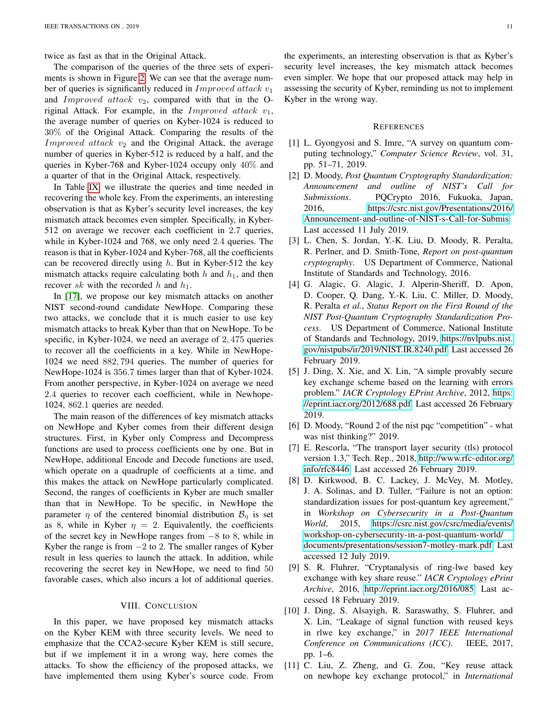twice as fast as that in the Original Attack.

The comparison of the queries of the three sets of experiments is shown in Figure [2.](#page-9-1) We can see that the average number of queries is significantly reduced in  $Improved$  attack  $v_1$ and Improved attack  $v_2$ , compared with that in the Original Attack. For example, in the Improved attack  $v_1$ , the average number of queries on Kyber-1024 is reduced to 30% of the Original Attack. Comparing the results of the *Improved attack*  $v_2$  and the Original Attack, the average number of queries in Kyber-512 is reduced by a half, and the queries in Kyber-768 and Kyber-1024 occupy only 40% and a quarter of that in the Original Attack, respectively.

In Table [IX,](#page-9-2) we illustrate the queries and time needed in recovering the whole key. From the experiments, an interesting observation is that as Kyber's security level increases, the key mismatch attack becomes even simpler. Specifically, in Kyber-512 on average we recover each coefficient in 2.7 queries, while in Kyber-1024 and 768, we only need 2.4 queries. The reason is that in Kyber-1024 and Kyber-768, all the coefficients can be recovered directly using  $h$ . But in Kyber-512 the key mismatch attacks require calculating both  $h$  and  $h_1$ , and then recover sk with the recorded h and  $h_1$ .

In [\[17\]](#page-11-5), we propose our key mismatch attacks on another NIST second-round candidate NewHope. Comparing these two attacks, we conclude that it is much easier to use key mismatch attacks to break Kyber than that on NewHope. To be specific, in Kyber-1024, we need an average of 2, 475 queries to recover all the coefficients in a key. While in NewHope-1024 we need 882, 794 queries. The number of queries for NewHope-1024 is 356.7 times larger than that of Kyber-1024. From another perspective, in Kyber-1024 on average we need 2.4 queries to recover each coefficient, while in Newhope-1024, 862.1 queries are needed.

The main reason of the differences of key mismatch attacks on NewHope and Kyber comes from their different design structures. First, in Kyber only Compress and Decompress functions are used to process coefficients one by one. But in NewHope, additional Encode and Decode functions are used, which operate on a quadruple of coefficients at a time, and this makes the attack on NewHope particularly complicated. Second, the ranges of coefficients in Kyber are much smaller than that in NewHope. To be specific, in NewHope the parameter  $\eta$  of the centered binomial distribution  $\mathcal{B}_{\eta}$  is set as 8, while in Kyber  $\eta = 2$ . Equivalently, the coefficients of the secret key in NewHope ranges from −8 to 8, while in Kyber the range is from  $-2$  to 2. The smaller ranges of Kyber result in less queries to launch the attack. In addition, while recovering the secret key in NewHope, we need to find 50 favorable cases, which also incurs a lot of additional queries.

# VIII. CONCLUSION

<span id="page-10-11"></span>In this paper, we have proposed key mismatch attacks on the Kyber KEM with three security levels. We need to emphasize that the CCA2-secure Kyber KEM is still secure, but if we implement it in a wrong way, here comes the attacks. To show the efficiency of the proposed attacks, we have implemented them using Kyber's source code. From

the experiments, an interesting observation is that as Kyber's security level increases, the key mismatch attack becomes even simpler. We hope that our proposed attack may help in assessing the security of Kyber, reminding us not to implement Kyber in the wrong way.

#### **REFERENCES**

- <span id="page-10-0"></span>[1] L. Gyongyosi and S. Imre, "A survey on quantum computing technology," *Computer Science Review*, vol. 31, pp. 51–71, 2019.
- <span id="page-10-1"></span>[2] D. Moody, *Post Quantum Cryptography Standardization: Announcement and outline of NIST's Call for Submissions*. PQCrypto 2016, Fukuoka, Japan, 2016, [https://csrc.nist.gov/Presentations/2016/](https://csrc.nist.gov/Presentations/2016/Announcement-and-outline-of-NIST-s-Call-for-Submis) [Announcement-and-outline-of-NIST-s-Call-for-Submis.](https://csrc.nist.gov/Presentations/2016/Announcement-and-outline-of-NIST-s-Call-for-Submis) Last accessed 11 July 2019.
- <span id="page-10-2"></span>[3] L. Chen, S. Jordan, Y.-K. Liu, D. Moody, R. Peralta, R. Perlner, and D. Smith-Tone, *Report on post-quantum cryptography*. US Department of Commerce, National Institute of Standards and Technology, 2016.
- <span id="page-10-3"></span>[4] G. Alagic, G. Alagic, J. Alperin-Sheriff, D. Apon, D. Cooper, Q. Dang, Y.-K. Liu, C. Miller, D. Moody, R. Peralta *et al.*, *Status Report on the First Round of the NIST Post-Quantum Cryptography Standardization Process*. US Department of Commerce, National Institute of Standards and Technology, 2019, [https://nvlpubs.nist.](https://nvlpubs.nist.gov/nistpubs/ir/2019/NIST.IR.8240.pdf) [gov/nistpubs/ir/2019/NIST.IR.8240.pdf.](https://nvlpubs.nist.gov/nistpubs/ir/2019/NIST.IR.8240.pdf) Last accessed 26 February 2019.
- <span id="page-10-4"></span>[5] J. Ding, X. Xie, and X. Lin, "A simple provably secure key exchange scheme based on the learning with errors problem." *IACR Cryptology EPrint Archive*, 2012, [https:](https://eprint.iacr.org/2012/688.pdf) [//eprint.iacr.org/2012/688.pdf.](https://eprint.iacr.org/2012/688.pdf) Last accessed 26 February 2019.
- <span id="page-10-5"></span>[6] D. Moody, "Round 2 of the nist pqc "competition" - what was nist thinking?" 2019.
- <span id="page-10-6"></span>[7] E. Rescorla, "The transport layer security (tls) protocol version 1.3," Tech. Rep., 2018, [http://www.rfc-editor.org/](http://www.rfc-editor.org/info/rfc8446) [info/rfc8446.](http://www.rfc-editor.org/info/rfc8446) Last accessed 26 February 2019.
- <span id="page-10-7"></span>[8] D. Kirkwood, B. C. Lackey, J. McVey, M. Motley, J. A. Solinas, and D. Tuller, "Failure is not an option: standardization issues for post-quantum key agreement," in *Workshop on Cybersecurity in a Post-Quantum World*, 2015, [https://csrc.nist.gov/csrc/media/events/](https://csrc.nist.gov/csrc/media/events/workshop-on-cybersecurity-in-a-post-quantum-world/documents/presentations/session7-motley-mark.pdf) [workshop-on-cybersecurity-in-a-post-quantum-world/](https://csrc.nist.gov/csrc/media/events/workshop-on-cybersecurity-in-a-post-quantum-world/documents/presentations/session7-motley-mark.pdf) [documents/presentations/session7-motley-mark.pdf.](https://csrc.nist.gov/csrc/media/events/workshop-on-cybersecurity-in-a-post-quantum-world/documents/presentations/session7-motley-mark.pdf) Last accessed 12 July 2019.
- <span id="page-10-8"></span>[9] S. R. Fluhrer, "Cryptanalysis of ring-lwe based key exchange with key share reuse." *IACR Cryptology ePrint Archive*, 2016, [http://eprint.iacr.org/2016/085.](http://eprint.iacr.org/2016/085) Last accessed 18 February 2019.
- <span id="page-10-9"></span>[10] J. Ding, S. Alsayigh, R. Saraswathy, S. Fluhrer, and X. Lin, "Leakage of signal function with reused keys in rlwe key exchange," in *2017 IEEE International Conference on Communications (ICC)*. IEEE, 2017, pp. 1–6.
- <span id="page-10-10"></span>[11] C. Liu, Z. Zheng, and G. Zou, "Key reuse attack on newhope key exchange protocol," in *International*